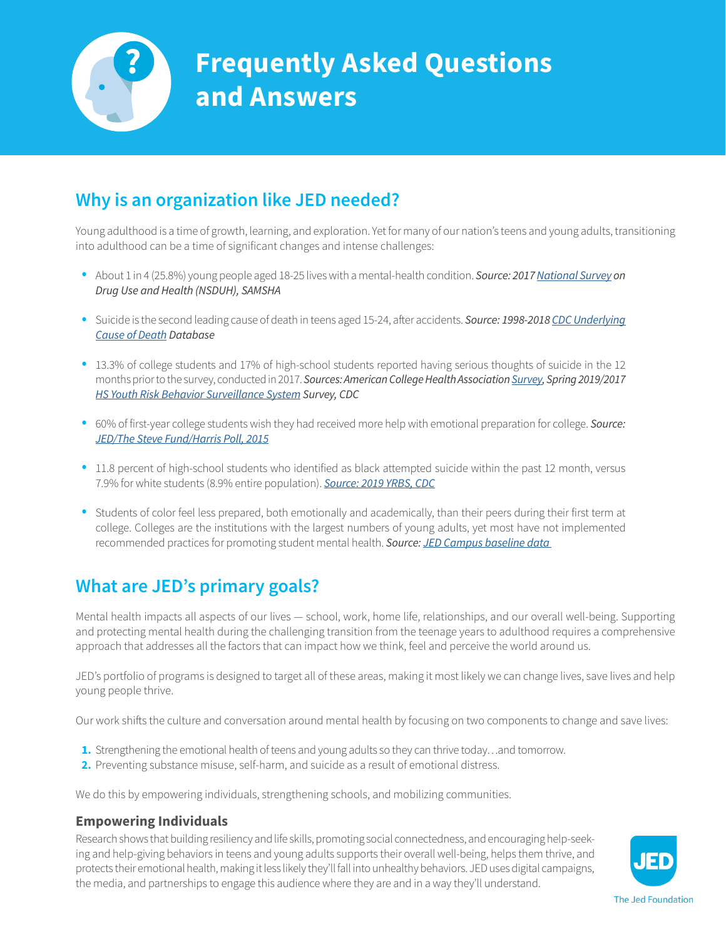

# **Frequently Asked Questions and Answers**

## **Why is an organization like JED needed?**

Young adulthood is a time of growth, learning, and exploration. Yet for many of our nation's teens and young adults, transitioning into adulthood can be a time of significant changes and intense challenges:

- About 1 in 4 (25.8%) young people aged 18-25 lives with a mental-health condition. *Source: 2017 [National Survey](https://www.samhsa.gov/data/sites/default/files/cbhsq-reports/NSDUHFFR2017/NSDUHFFR2017.pdf) on Drug Use and Health (NSDUH), SAMSHA*
- Suicide is the second leading cause of death in teens aged 15-24, after accidents. *Source: 1998-2018 [CDC Underlying](https://wonder.cdc.gov/ucd-icd10.html)  [Cause of Death](https://wonder.cdc.gov/ucd-icd10.html) Database*
- 13.3% of college students and 17% of high-school students reported having serious thoughts of suicide in the 12 months prior to the survey, conducted in 2017. *Sources: American College Health Association [Survey](https://www.acha.org/documents/ncha/NCHA-II_SPRING_2019_US_REFERENCE_GROUP_EXECUTIVE_SUMMARY.pdf), Spring 2019/2017 [HS Youth Risk Behavior Surveillance System](https://nccd.cdc.gov/Youthonline/App/Default.aspx) Survey, CDC*
- 60% of first-year college students wish they had received more help with emotional preparation for college. *Source: [JED/The Steve Fund/Harris Poll, 2015](https://www.stevefund.org/?wpfb_dl=50)*
- 11.8 percent of high-school students who identified as black attempted suicide within the past 12 month, versus 7.9% for white students (8.9% entire population). *[Source: 2019 YRBS, CDC](https://www.cdc.gov/mmwr/volumes/69/su/su6901a6.htm)*
- Students of color feel less prepared, both emotionally and academically, than their peers during their first term at college. Colleges are the institutions with the largest numbers of young adults, yet most have not implemented recommended practices for promoting student mental health. *Source: [JED Campus baseline data](https://www.jedfoundation.org/campus-impact/)*

# **What are JED's primary goals?**

Mental health impacts all aspects of our lives — school, work, home life, relationships, and our overall well-being. Supporting and protecting mental health during the challenging transition from the teenage years to adulthood requires a comprehensive approach that addresses all the factors that can impact how we think, feel and perceive the world around us.

JED's portfolio of programs is designed to target all of these areas, making it most likely we can change lives, save lives and help young people thrive.

Our work shifts the culture and conversation around mental health by focusing on two components to change and save lives:

- 1. Strengthening the emotional health of teens and young adults so they can thrive today...and tomorrow.
- 2. Preventing substance misuse, self-harm, and suicide as a result of emotional distress.

We do this by empowering individuals, strengthening schools, and mobilizing communities.

#### **Empowering Individuals**

Research shows that building resiliency and life skills, promoting social connectedness, and encouraging help-seeking and help-giving behaviors in teens and young adults supports their overall well-being, helps them thrive, and protects their emotional health, making it less likely they'll fall into unhealthy behaviors. JED uses digital campaigns, the media, and partnerships to engage this audience where they are and in a way they'll understand.